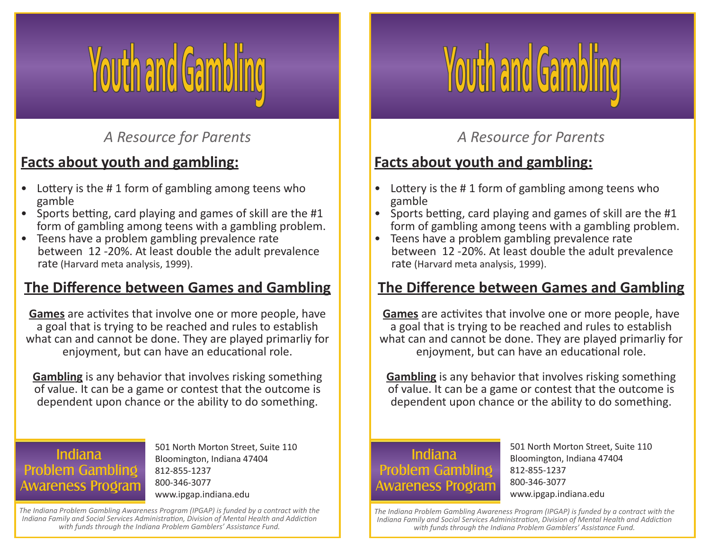# *A Resource for Parents*

## **Facts about youth and gambling:**

- Lottery is the # 1 form of gambling among teens who
- gamble<br>• Sports betting, card playing and games of skill are the #1 form of gambling among teens with a gambling problem. • Teens have a problem gambling prevalence rate
- between 12 -20%. At least double the adult prevalence rate (Harvard meta analysis, 1999).

#### **The Difference between Games and Gambling**

**Games** are activites that involve one or more people, have a goal that is trying to be reached and rules to establish what can and cannot be done. They are played primarliy for enjoyment, but can have an educational role.

**Gambling** is any behavior that involves risking something of value. It can be a game or contest that the outcome is dependent upon chance or the ability to do something.

#### **Indiana Problem Gambling Awareness Program**

501 North Morton Street, Suite 110 Bloomington, Indiana 47404 812-855-1237 800-346-3077 www.ipgap.indiana.edu

*The Indiana Problem Gambling Awareness Program (IPGAP) is funded by a contract with the Indiana Family and Social Services Administration, Division of Mental Health and Addiction with funds through the Indiana Problem Gamblers' Assistance Fund.*



# *A Resource for Parents*

#### **Facts about youth and gambling:**

- Lottery is the #1 form of gambling among teens who
- gamble<br>• Sports betting, card playing and games of skill are the #1 form of gambling among teens with a gambling problem. • Teens have a problem gambling prevalence rate
- between 12 -20%. At least double the adult prevalence rate (Harvard meta analysis, 1999).

#### **The Difference between Games and Gambling**

**Games** are activites that involve one or more people, have a goal that is trying to be reached and rules to establish what can and cannot be done. They are played primarliy for enjoyment, but can have an educational role.

**Gambling** is any behavior that involves risking something of value. It can be a game or contest that the outcome is dependent upon chance or the ability to do something.

#### **Indiana Problem Gambling Awareness Program**

501 North Morton Street, Suite 110 Bloomington, Indiana 47404 812-855-1237 800-346-3077 www.ipgap.indiana.edu

*The Indiana Problem Gambling Awareness Program (IPGAP) is funded by a contract with the Indiana Family and Social Services Administration, Division of Mental Health and Addiction with funds through the Indiana Problem Gamblers' Assistance Fund.*